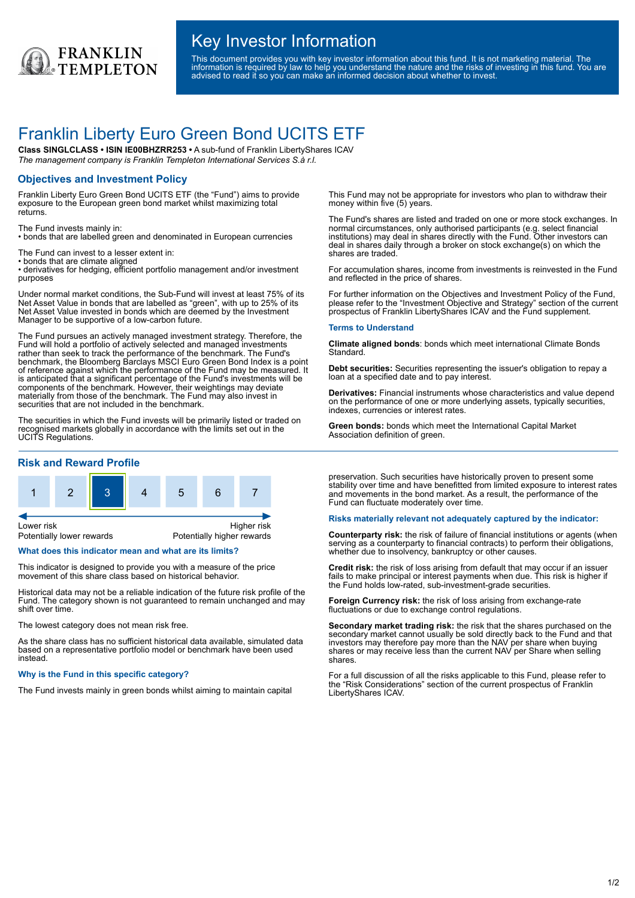

## Key Investor Information

This document provides you with key investor information about this fund. It is not marketing material. The information is required by law to help you understand the nature and the risks of investing in this fund. You are advised to read it so you can make an informed decision about whether to invest.

# Franklin Liberty Euro Green Bond UCITS ETF

**Class SINGLCLASS • ISIN IE00BHZRR253 •** A sub-fund of Franklin LibertyShares ICAV *The management company is Franklin Templeton International Services S.à r.l.*

## **Objectives and Investment Policy**

Franklin Liberty Euro Green Bond UCITS ETF (the "Fund") aims to provide exposure to the European green bond market whilst maximizing total returns.

The Fund invests mainly in:

• bonds that are labelled green and denominated in European currencies

The Fund can invest to a lesser extent in:

• bonds that are climate aligned

• derivatives for hedging, efficient portfolio management and/or investment purposes

Under normal market conditions, the Sub-Fund will invest at least 75% of its Net Asset Value in bonds that are labelled as "green", with up to 25% of its Net Asset Value invested in bonds which are deemed by the Investment Manager to be supportive of a low-carbon future.

The Fund pursues an actively managed investment strategy. Therefore, the Fund will hold a portfolio of actively selected and managed investments rather than seek to track the performance of the benchmark. The Fund's benchmark, the Bloomberg Barclays MSCI Euro Green Bond Index is a point of reference against which the performance of the Fund may be measured. It is anticipated that a significant percentage of the Fund's investments will be components of the benchmark. However, their weightings may deviate materially from those of the benchmark. The Fund may also invest in securities that are not included in the benchmark.

The securities in which the Fund invests will be primarily listed or traded on recognised markets globally in accordance with the limits set out in the UCITS Regulations.

## **Risk and Reward Profile**



### **What does this indicator mean and what are its limits?**

This indicator is designed to provide you with a measure of the price movement of this share class based on historical behavior.

Historical data may not be a reliable indication of the future risk profile of the Fund. The category shown is not guaranteed to remain unchanged and may shift over time.

The lowest category does not mean risk free.

As the share class has no sufficient historical data available, simulated data based on a representative portfolio model or benchmark have been used instead.

#### **Why is the Fund in this specific category?**

The Fund invests mainly in green bonds whilst aiming to maintain capital

This Fund may not be appropriate for investors who plan to withdraw their money within five (5) years.

The Fund's shares are listed and traded on one or more stock exchanges. In normal circumstances, only authorised participants (e.g. select financial institutions) may deal in shares directly with the Fund. Other investors can deal in shares daily through a broker on stock exchange(s) on which the shares are traded.

For accumulation shares, income from investments is reinvested in the Fund and reflected in the price of shares.

For further information on the Objectives and Investment Policy of the Fund, please refer to the "Investment Objective and Strategy" section of the current prospectus of Franklin LibertyShares ICAV and the Fund supplement.

#### **Terms to Understand**

**Climate aligned bonds**: bonds which meet international Climate Bonds **Standard** 

**Debt securities:** Securities representing the issuer's obligation to repay a loan at a specified date and to pay interest.

**Derivatives:** Financial instruments whose characteristics and value depend on the performance of one or more underlying assets, typically securities, indexes, currencies or interest rates.

**Green bonds:** bonds which meet the International Capital Market Association definition of green.

preservation. Such securities have historically proven to present some stability over time and have benefitted from limited exposure to interest rates and movements in the bond market. As a result, the performance of the Fund can fluctuate moderately over time.

#### **Risks materially relevant not adequately captured by the indicator:**

**Counterparty risk:** the risk of failure of financial institutions or agents (when serving as a counterparty to financial contracts) to perform their obligations, whether due to insolvency, bankruptcy or other causes.

**Credit risk:** the risk of loss arising from default that may occur if an issuer fails to make principal or interest payments when due. This risk is higher if the Fund holds low-rated, sub-investment-grade securities.

**Foreign Currency risk:** the risk of loss arising from exchange-rate fluctuations or due to exchange control regulations.

**Secondary market trading risk:** the risk that the shares purchased on the secondary market cannot usually be sold directly back to the Fund and that investors may therefore pay more than the NAV per share when buying shares or may receive less than the current NAV per Share when selling shares.

For a full discussion of all the risks applicable to this Fund, please refer to the "Risk Considerations" section of the current prospectus of Franklin LibertyShares ICAV.